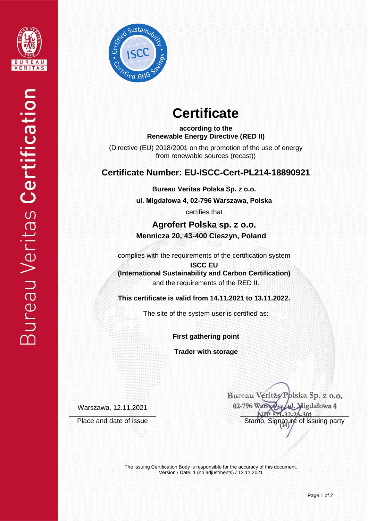



# **Certificate**

**according to the Renewable Energy Directive (RED II)**

(Directive (EU) 2018/2001 on the promotion of the use of energy from renewable sources (recast))

## **Certificate Number: EU-ISCC-Cert-PL214-18890921**

**Bureau Veritas Polska Sp. z o.o.**

**ul. Migdałowa 4, 02-796 Warszawa, Polska** 

certifies that

**Agrofert Polska sp. z o.o. Mennicza 20, 43-400 Cieszyn, Poland**

complies with the requirements of the certification system

**ISCC EU (International Sustainability and Carbon Certification)** and the requirements of the RED II.

**This certificate is valid from 14.11.2021 to 13.11.2022.**

The site of the system user is certified as:

**First gathering point**

**Trader with storage**

Warszawa, 12.11.2021

Bureau Veritas/Polska Sp. z o.o. 02-796 Warsza Migdałowa 4 Place and date of issue Stamp, Signature of issuing party

> The issuing Certification Body is responsible for the accuracy of this document. Version / Date: 1 (no adjustments) / 12.11.2021